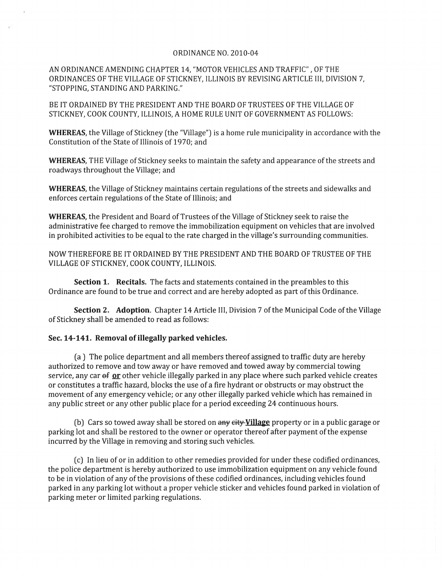## ORDINANCE NO. 2010-04

AN ORDINANCE AMENDING CHAPTER 14, "MOTOR VEHICLES AND TRAFFIC" , OF THE ORDINANCES OF THE VILLAGE OF STICKNEY, ILLINOIS BY REVISING ARTICLE III, DIVISION 7, "STOPPING, STANDING AND PARKING."

BE IT ORDAINED BY THE PRESIDENT AND THE BOARD OF TRUSTEES OF THE VILLAGE OF STICKNEY, COOK COUNTY, ILLINOIS, A HOME RULE UNIT OF GOVERNMENT AS FOLLOWS:

WHEREAS, the Village of Stickney (the "Village") is a home rule municipality in accordance with the Constitution of the State of Illinois of 1970; and

WHEREAS, THE Village of Stickney seeks to maintain the safety and appearance of the streets and roadways throughout the Village; and

WHEREAS, the Village of Stickney maintains certain regulations of the streets and sidewalks and enforces certain regulations of the State of Illinois; and

WHEREAS, the President and Board of Trustees of the Village of Stickney seek to raise the administrative fee charged to remove the immobilization equipment on vehicles that are involved in prohibited activities to be equal to the rate charged in the village's surrounding communities.

NOW THEREFORE BE IT ORDAINED BY THE PRESIDENT AND THE BOARD OF TRUSTEE OF THE VILLAGE OF STICKNEY, COOK COUNTY, ILLINOIS.

Section 1. Recitals. The facts and statements contained in the preambles to this Ordinance are found to be true and correct and are hereby adopted as part of this Ordinance.

Section 2. Adoption. Chapter 14 Article III, Division 7 of the Municipal Code of the Village of Stickney shall be amended to read as follows:

## Sec. 14-141. Removal of illegally parked vehicles.

(a) The police department and all members thereof assigned to traffic duty are hereby authorized to remove and tow away or have removed and towed away by commercial towing service, any car  $\theta$  or other vehicle illegally parked in any place where such parked vehicle creates or constitutes a traffic hazard, blocks the use of a fire hydrant or obstructs or may obstruct the movement of any emergency vehicle; or any other illegally parked vehicle which has remained in any public street or any other public place for a period exceeding 24 continuous hours.

(b) Cars so towed away shall be stored on any eity-Village property or in a public garage or parking lot and shall be restored to the owner or operator thereof after payment of the expense incurred by the Village in removing and storing such vehicles.

(c) In lieu of or in addition to other remedies provided for under these codified ordinances, the police department is hereby authorized to use immobilization equipment on any vehicle found to be in violation of any of the provisions of these codified ordinances, including vehicles found parked in any parking lot without a proper vehicle sticker and vehicles found parked in violation of parking meter or limited parking regulations.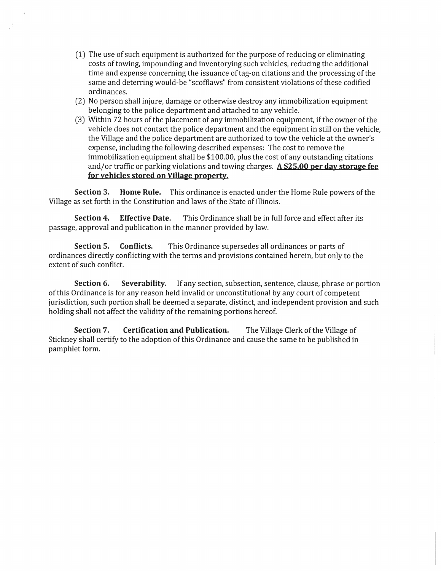- (1) The use of such equipment is authorized for the purpose of reducing or eliminating costs of towing, impounding and inventorying such vehicles, reducing the additional time and expense concerning the issuance of tag-on citations and the processing of the same and deterring would-be "scofflaws" from consistent violations of these codified ordinances.
- (2) No person shall injure, damage or otherwise destroy any immobilization equipment belonging to the police department and attached to any vehicle.
- (3) Within 72 hours of the placement of any immobilization equipment, if the owner of the vehicle does not contact the police department and the equipment in still on the vehicle, the Village and the police department are authorized to tow the vehicle at the owner's expense, including the following described expenses: The cost to remove the immobilization equipment shall be \$100.00, plus the cost of any outstanding citations and/or traffic or parking violations and towing charges. **A \$25.00 per day storage fee for vehicles stored on Village property.**

**Section 3. Home Rule.** This ordinance is enacted under the Home Rule powers of the Village as set forth in the Constitution and laws of the State of Illinois.

**Section 4. Effective Date.** This Ordinance shall be in full force and effect after its passage, approval and publication in the manner provided by law.

**Section 5. Conflicts.** This Ordinance supersedes all ordinances or parts of ordinances directly conflicting with the terms and provisions contained herein, but only to the extent of such conflict.

**Section 6. Severability.** If any section, subsection, sentence, clause, phrase or portion of this Ordinance is for any reason held invalid or unconstitutional by any court of competent jurisdiction, such portion shall be deemed a separate, distinct, and independent provision and such holding shall not affect the validity of the remaining portions hereof.

**Section 7. Certification and Publication.** The Village Clerk of the Village of Stickney shall certify to the adoption of this Ordinance and cause the same to be published in pamphlet form.